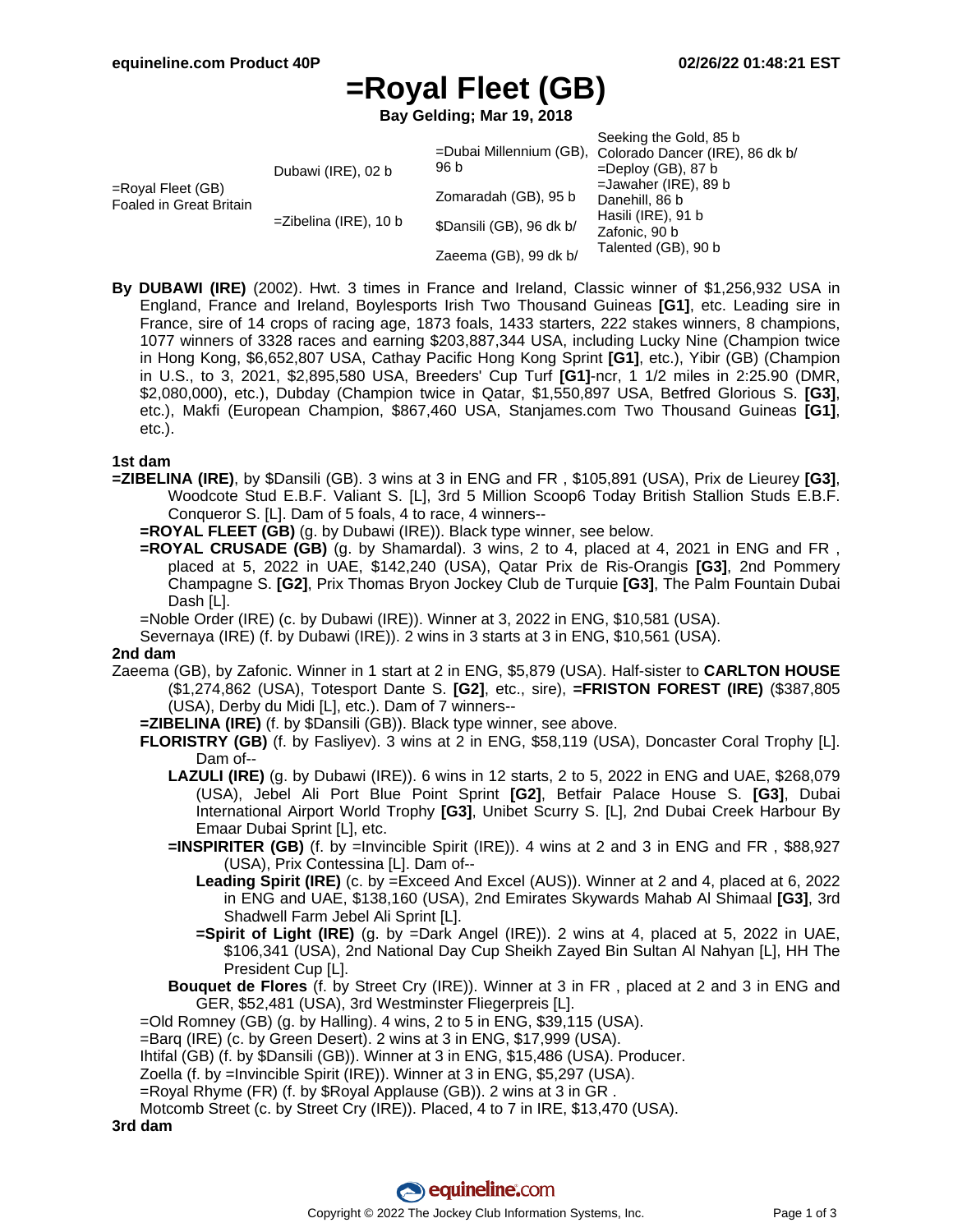# **=Royal Fleet (GB)**

**Bay Gelding; Mar 19, 2018**

|                                                 | Dubawi (IRE), 02 b       | 96 b                     | Seeking the Gold, 85 b<br>=Dubai Millennium (GB), Colorado Dancer (IRE), 86 dk b/<br>$=$ Deploy (GB), 87 b |
|-------------------------------------------------|--------------------------|--------------------------|------------------------------------------------------------------------------------------------------------|
| $=$ Royal Fleet (GB)<br>Foaled in Great Britain |                          | Zomaradah (GB), 95 b     | $=$ Jawaher (IRE), 89 b<br>Danehill, 86 b<br>Hasili (IRE), 91 b<br>Zafonic, 90 b<br>Talented (GB), 90 b    |
|                                                 | $=$ Zibelina (IRE), 10 b | \$Dansili (GB), 96 dk b/ |                                                                                                            |
|                                                 |                          | Zaeema (GB), 99 dk b/    |                                                                                                            |

**By DUBAWI (IRE)** (2002). Hwt. 3 times in France and Ireland, Classic winner of \$1,256,932 USA in England, France and Ireland, Boylesports Irish Two Thousand Guineas **[G1]**, etc. Leading sire in France, sire of 14 crops of racing age, 1873 foals, 1433 starters, 222 stakes winners, 8 champions, 1077 winners of 3328 races and earning \$203,887,344 USA, including Lucky Nine (Champion twice in Hong Kong, \$6,652,807 USA, Cathay Pacific Hong Kong Sprint **[G1]**, etc.), Yibir (GB) (Champion in U.S., to 3, 2021, \$2,895,580 USA, Breeders' Cup Turf **[G1]**-ncr, 1 1/2 miles in 2:25.90 (DMR, \$2,080,000), etc.), Dubday (Champion twice in Qatar, \$1,550,897 USA, Betfred Glorious S. **[G3]**, etc.), Makfi (European Champion, \$867,460 USA, Stanjames.com Two Thousand Guineas **[G1]**, etc.).

### **1st dam**

- **=ZIBELINA (IRE)**, by \$Dansili (GB). 3 wins at 3 in ENG and FR , \$105,891 (USA), Prix de Lieurey **[G3]**, Woodcote Stud E.B.F. Valiant S. [L], 3rd 5 Million Scoop6 Today British Stallion Studs E.B.F. Conqueror S. [L]. Dam of 5 foals, 4 to race, 4 winners--
	- **=ROYAL FLEET (GB)** (g. by Dubawi (IRE)). Black type winner, see below.
	- **=ROYAL CRUSADE (GB)** (g. by Shamardal). 3 wins, 2 to 4, placed at 4, 2021 in ENG and FR , placed at 5, 2022 in UAE, \$142,240 (USA), Qatar Prix de Ris-Orangis **[G3]**, 2nd Pommery Champagne S. **[G2]**, Prix Thomas Bryon Jockey Club de Turquie **[G3]**, The Palm Fountain Dubai Dash [L].

=Noble Order (IRE) (c. by Dubawi (IRE)). Winner at 3, 2022 in ENG, \$10,581 (USA).

Severnaya (IRE) (f. by Dubawi (IRE)). 2 wins in 3 starts at 3 in ENG, \$10,561 (USA).

#### **2nd dam**

- Zaeema (GB), by Zafonic. Winner in 1 start at 2 in ENG, \$5,879 (USA). Half-sister to **CARLTON HOUSE** (\$1,274,862 (USA), Totesport Dante S. **[G2]**, etc., sire), **=FRISTON FOREST (IRE)** (\$387,805 (USA), Derby du Midi [L], etc.). Dam of 7 winners--
	- **=ZIBELINA (IRE)** (f. by \$Dansili (GB)). Black type winner, see above.
	- **FLORISTRY (GB)** (f. by Fasliyev). 3 wins at 2 in ENG, \$58,119 (USA), Doncaster Coral Trophy [L]. Dam of--
		- **LAZULI (IRE)** (g. by Dubawi (IRE)). 6 wins in 12 starts, 2 to 5, 2022 in ENG and UAE, \$268,079 (USA), Jebel Ali Port Blue Point Sprint **[G2]**, Betfair Palace House S. **[G3]**, Dubai International Airport World Trophy **[G3]**, Unibet Scurry S. [L], 2nd Dubai Creek Harbour By Emaar Dubai Sprint [L], etc.
		- **=INSPIRITER (GB)** (f. by =Invincible Spirit (IRE)). 4 wins at 2 and 3 in ENG and FR , \$88,927 (USA), Prix Contessina [L]. Dam of--
			- **Leading Spirit (IRE)** (c. by =Exceed And Excel (AUS)). Winner at 2 and 4, placed at 6, 2022 in ENG and UAE, \$138,160 (USA), 2nd Emirates Skywards Mahab Al Shimaal **[G3]**, 3rd Shadwell Farm Jebel Ali Sprint [L].
			- **=Spirit of Light (IRE)** (g. by =Dark Angel (IRE)). 2 wins at 4, placed at 5, 2022 in UAE, \$106,341 (USA), 2nd National Day Cup Sheikh Zayed Bin Sultan Al Nahyan [L], HH The President Cup [L].
		- **Bouquet de Flores** (f. by Street Cry (IRE)). Winner at 3 in FR , placed at 2 and 3 in ENG and GER, \$52,481 (USA), 3rd Westminster Fliegerpreis [L].

 $=$ Old Romney (GB) (g. by Halling). 4 wins, 2 to 5 in ENG, \$39,115 (USA).

- =Barq (IRE) (c. by Green Desert). 2 wins at 3 in ENG, \$17,999 (USA).
- Ihtifal (GB) (f. by \$Dansili (GB)). Winner at 3 in ENG, \$15,486 (USA). Producer.
- Zoella (f. by =Invincible Spirit (IRE)). Winner at 3 in ENG, \$5,297 (USA).
- =Royal Rhyme (FR) (f. by \$Royal Applause (GB)). 2 wins at 3 in GR .

Motcomb Street (c. by Street Cry (IRE)). Placed, 4 to 7 in IRE, \$13,470 (USA).

**3rd dam**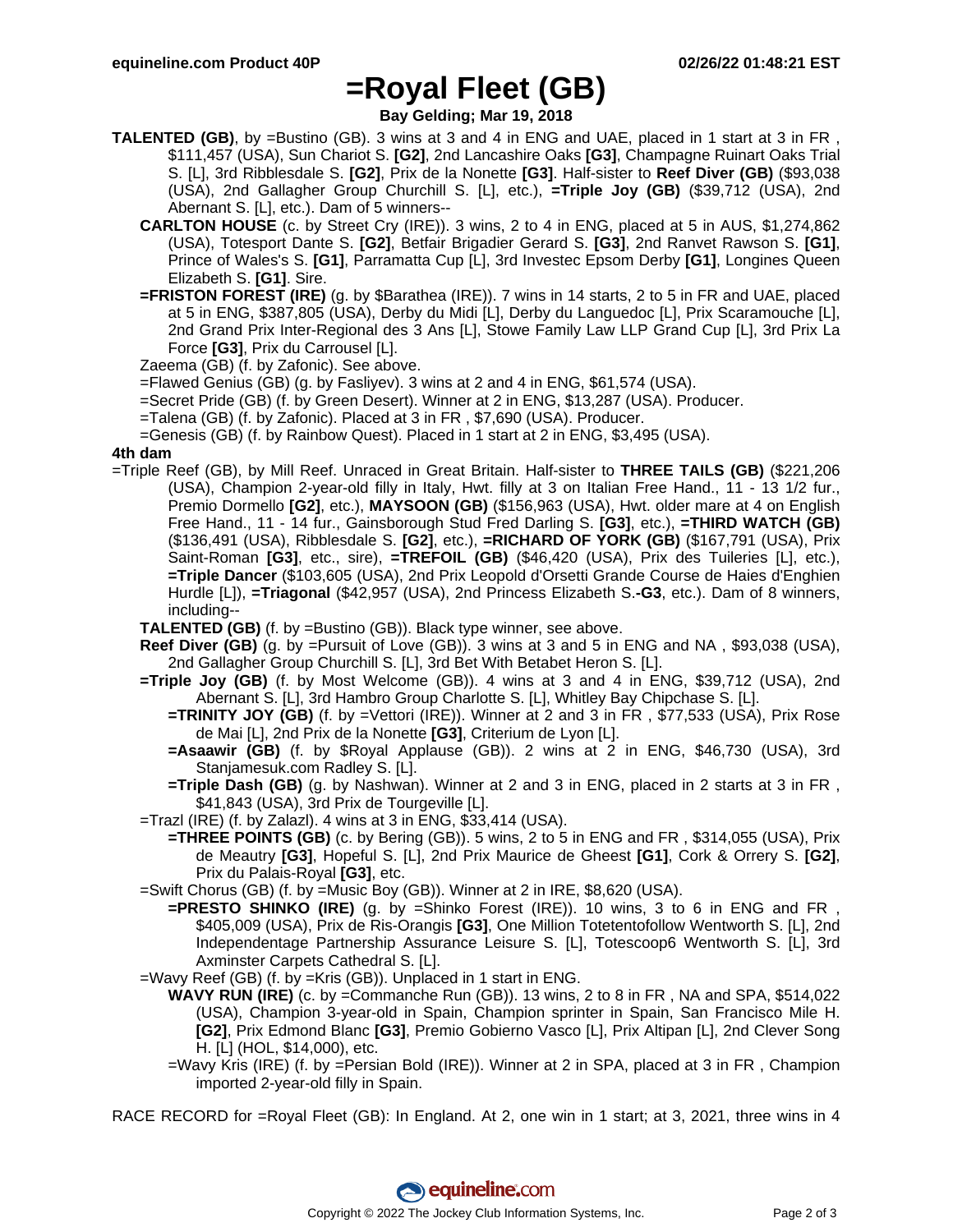### **=Royal Fleet (GB)**

**Bay Gelding; Mar 19, 2018**

- **TALENTED (GB)**, by =Bustino (GB). 3 wins at 3 and 4 in ENG and UAE, placed in 1 start at 3 in FR , \$111,457 (USA), Sun Chariot S. **[G2]**, 2nd Lancashire Oaks **[G3]**, Champagne Ruinart Oaks Trial S. [L], 3rd Ribblesdale S. **[G2]**, Prix de la Nonette **[G3]**. Half-sister to **Reef Diver (GB)** (\$93,038 (USA), 2nd Gallagher Group Churchill S. [L], etc.), **=Triple Joy (GB)** (\$39,712 (USA), 2nd Abernant S. [L], etc.). Dam of 5 winners--
	- **CARLTON HOUSE** (c. by Street Cry (IRE)). 3 wins, 2 to 4 in ENG, placed at 5 in AUS, \$1,274,862 (USA), Totesport Dante S. **[G2]**, Betfair Brigadier Gerard S. **[G3]**, 2nd Ranvet Rawson S. **[G1]**, Prince of Wales's S. **[G1]**, Parramatta Cup [L], 3rd Investec Epsom Derby **[G1]**, Longines Queen Elizabeth S. **[G1]**. Sire.
	- **=FRISTON FOREST (IRE)** (g. by \$Barathea (IRE)). 7 wins in 14 starts, 2 to 5 in FR and UAE, placed at 5 in ENG, \$387,805 (USA), Derby du Midi [L], Derby du Languedoc [L], Prix Scaramouche [L], 2nd Grand Prix Inter-Regional des 3 Ans [L], Stowe Family Law LLP Grand Cup [L], 3rd Prix La Force **[G3]**, Prix du Carrousel [L].

Zaeema (GB) (f. by Zafonic). See above.

- =Flawed Genius (GB) (g. by Fasliyev). 3 wins at 2 and 4 in ENG, \$61,574 (USA).
- =Secret Pride (GB) (f. by Green Desert). Winner at 2 in ENG, \$13,287 (USA). Producer.
- =Talena (GB) (f. by Zafonic). Placed at 3 in FR , \$7,690 (USA). Producer.

=Genesis (GB) (f. by Rainbow Quest). Placed in 1 start at 2 in ENG, \$3,495 (USA).

### **4th dam**

- =Triple Reef (GB), by Mill Reef. Unraced in Great Britain. Half-sister to **THREE TAILS (GB)** (\$221,206 (USA), Champion 2-year-old filly in Italy, Hwt. filly at 3 on Italian Free Hand., 11 - 13 1/2 fur., Premio Dormello **[G2]**, etc.), **MAYSOON (GB)** (\$156,963 (USA), Hwt. older mare at 4 on English Free Hand., 11 - 14 fur., Gainsborough Stud Fred Darling S. **[G3]**, etc.), **=THIRD WATCH (GB)** (\$136,491 (USA), Ribblesdale S. **[G2]**, etc.), **=RICHARD OF YORK (GB)** (\$167,791 (USA), Prix Saint-Roman **[G3]**, etc., sire), **=TREFOIL (GB)** (\$46,420 (USA), Prix des Tuileries [L], etc.), **=Triple Dancer** (\$103,605 (USA), 2nd Prix Leopold d'Orsetti Grande Course de Haies d'Enghien Hurdle [L]), **=Triagonal** (\$42,957 (USA), 2nd Princess Elizabeth S.**-G3**, etc.). Dam of 8 winners, including--
	- **TALENTED (GB)** (f. by =Bustino (GB)). Black type winner, see above.
	- **Reef Diver (GB)** (g. by =Pursuit of Love (GB)). 3 wins at 3 and 5 in ENG and NA , \$93,038 (USA), 2nd Gallagher Group Churchill S. [L], 3rd Bet With Betabet Heron S. [L].
	- **=Triple Joy (GB)** (f. by Most Welcome (GB)). 4 wins at 3 and 4 in ENG, \$39,712 (USA), 2nd Abernant S. [L], 3rd Hambro Group Charlotte S. [L], Whitley Bay Chipchase S. [L].
		- **=TRINITY JOY (GB)** (f. by =Vettori (IRE)). Winner at 2 and 3 in FR , \$77,533 (USA), Prix Rose de Mai [L], 2nd Prix de la Nonette **[G3]**, Criterium de Lyon [L].
		- **=Asaawir (GB)** (f. by \$Royal Applause (GB)). 2 wins at 2 in ENG, \$46,730 (USA), 3rd Stanjamesuk.com Radley S. [L].
		- **=Triple Dash (GB)** (g. by Nashwan). Winner at 2 and 3 in ENG, placed in 2 starts at 3 in FR , \$41,843 (USA), 3rd Prix de Tourgeville [L].
	- =Trazl (IRE) (f. by Zalazl). 4 wins at 3 in ENG, \$33,414 (USA).
		- **=THREE POINTS (GB)** (c. by Bering (GB)). 5 wins, 2 to 5 in ENG and FR , \$314,055 (USA), Prix de Meautry **[G3]**, Hopeful S. [L], 2nd Prix Maurice de Gheest **[G1]**, Cork & Orrery S. **[G2]**, Prix du Palais-Royal **[G3]**, etc.
	- =Swift Chorus (GB) (f. by =Music Boy (GB)). Winner at 2 in IRE, \$8,620 (USA).
	- **=PRESTO SHINKO (IRE)** (g. by =Shinko Forest (IRE)). 10 wins, 3 to 6 in ENG and FR , \$405,009 (USA), Prix de Ris-Orangis **[G3]**, One Million Totetentofollow Wentworth S. [L], 2nd Independentage Partnership Assurance Leisure S. [L], Totescoop6 Wentworth S. [L], 3rd Axminster Carpets Cathedral S. [L].
	- =Wavy Reef (GB) (f. by =Kris (GB)). Unplaced in 1 start in ENG.
		- **WAVY RUN (IRE)** (c. by =Commanche Run (GB)). 13 wins, 2 to 8 in FR , NA and SPA, \$514,022 (USA), Champion 3-year-old in Spain, Champion sprinter in Spain, San Francisco Mile H. **[G2]**, Prix Edmond Blanc **[G3]**, Premio Gobierno Vasco [L], Prix Altipan [L], 2nd Clever Song H. [L] (HOL, \$14,000), etc.
		- =Wavy Kris (IRE) (f. by =Persian Bold (IRE)). Winner at 2 in SPA, placed at 3 in FR , Champion imported 2-year-old filly in Spain.

RACE RECORD for =Royal Fleet (GB): In England. At 2, one win in 1 start; at 3, 2021, three wins in 4